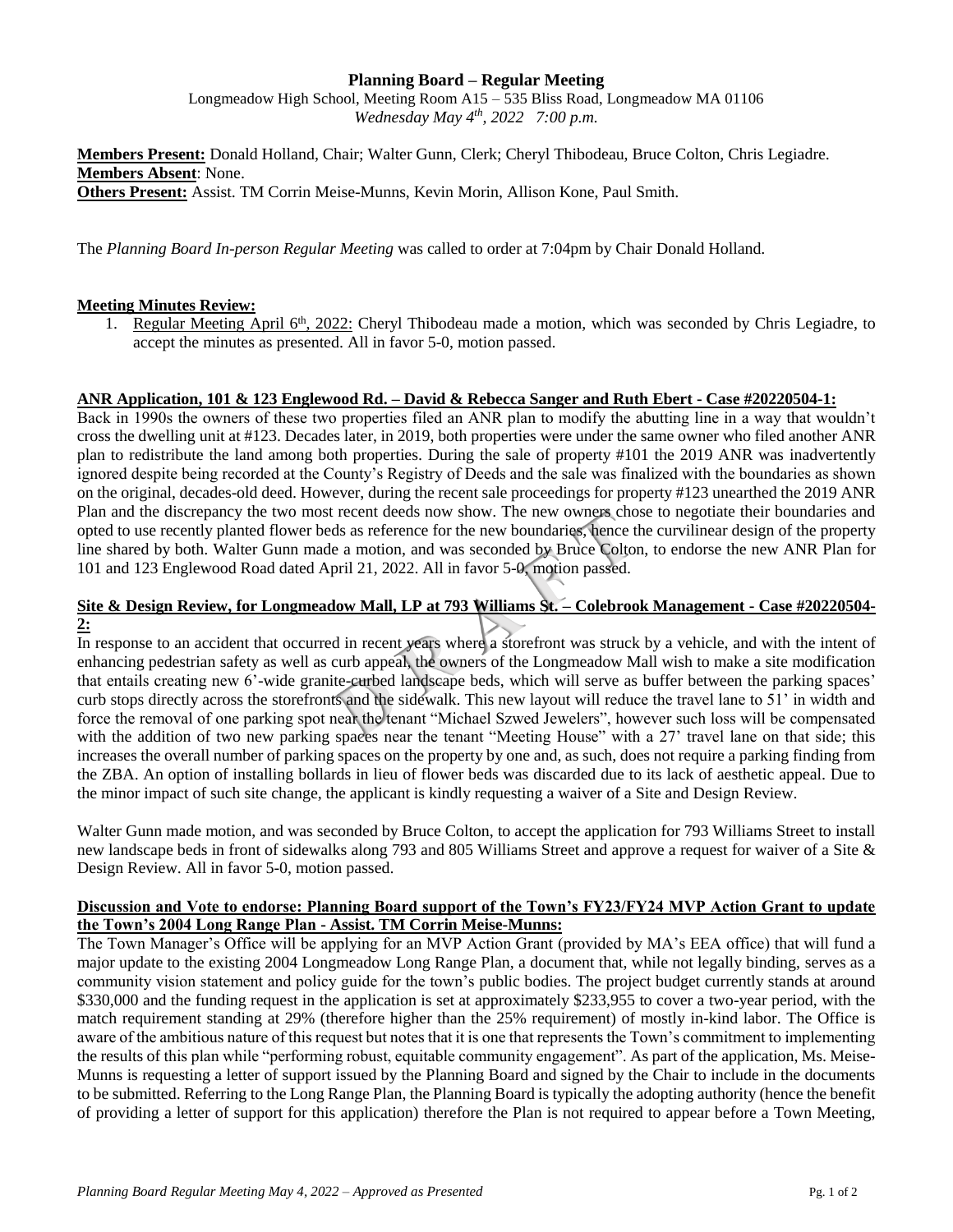# **Planning Board – Regular Meeting**

Longmeadow High School, Meeting Room A15 – 535 Bliss Road, Longmeadow MA 01106 *Wednesday May 4 th, 2022 7:00 p.m.*

**Members Present:** Donald Holland, Chair; Walter Gunn, Clerk; Cheryl Thibodeau, Bruce Colton, Chris Legiadre. **Members Absent**: None. **Others Present:** Assist. TM Corrin Meise-Munns, Kevin Morin, Allison Kone, Paul Smith.

The *Planning Board In-person Regular Meeting* was called to order at 7:04pm by Chair Donald Holland.

# **Meeting Minutes Review:**

1. Regular Meeting April 6<sup>th</sup>, 2022: Cheryl Thibodeau made a motion, which was seconded by Chris Legiadre, to accept the minutes as presented. All in favor 5-0, motion passed.

#### **ANR Application, 101 & 123 Englewood Rd. – David & Rebecca Sanger and Ruth Ebert - Case #20220504-1:**

Back in 1990s the owners of these two properties filed an ANR plan to modify the abutting line in a way that wouldn't cross the dwelling unit at #123. Decades later, in 2019, both properties were under the same owner who filed another ANR plan to redistribute the land among both properties. During the sale of property #101 the 2019 ANR was inadvertently ignored despite being recorded at the County's Registry of Deeds and the sale was finalized with the boundaries as shown on the original, decades-old deed. However, during the recent sale proceedings for property #123 unearthed the 2019 ANR Plan and the discrepancy the two most recent deeds now show. The new owners chose to negotiate their boundaries and opted to use recently planted flower beds as reference for the new boundaries, hence the curvilinear design of the property line shared by both. Walter Gunn made a motion, and was seconded by Bruce Colton, to endorse the new ANR Plan for 101 and 123 Englewood Road dated April 21, 2022. All in favor 5-0, motion passed.

#### **Site & Design Review, for Longmeadow Mall, LP at 793 Williams St. – Colebrook Management - Case #20220504- 2:**

In response to an accident that occurred in recent years where a storefront was struck by a vehicle, and with the intent of enhancing pedestrian safety as well as curb appeal, the owners of the Longmeadow Mall wish to make a site modification that entails creating new 6'-wide granite-curbed landscape beds, which will serve as buffer between the parking spaces' curb stops directly across the storefronts and the sidewalk. This new layout will reduce the travel lane to 51' in width and force the removal of one parking spot near the tenant "Michael Szwed Jewelers", however such loss will be compensated with the addition of two new parking spaces near the tenant "Meeting House" with a 27' travel lane on that side; this increases the overall number of parking spaces on the property by one and, as such, does not require a parking finding from the ZBA. An option of installing bollards in lieu of flower beds was discarded due to its lack of aesthetic appeal. Due to the minor impact of such site change, the applicant is kindly requesting a waiver of a Site and Design Review.

Walter Gunn made motion, and was seconded by Bruce Colton, to accept the application for 793 Williams Street to install new landscape beds in front of sidewalks along 793 and 805 Williams Street and approve a request for waiver of a Site & Design Review. All in favor 5-0, motion passed.

# **Discussion and Vote to endorse: Planning Board support of the Town's FY23/FY24 MVP Action Grant to update the Town's 2004 Long Range Plan - Assist. TM Corrin Meise-Munns:**

The Town Manager's Office will be applying for an MVP Action Grant (provided by MA's EEA office) that will fund a major update to the existing 2004 Longmeadow Long Range Plan, a document that, while not legally binding, serves as a community vision statement and policy guide for the town's public bodies. The project budget currently stands at around \$330,000 and the funding request in the application is set at approximately \$233,955 to cover a two-year period, with the match requirement standing at 29% (therefore higher than the 25% requirement) of mostly in-kind labor. The Office is aware of the ambitious nature of this request but notes that it is one that represents the Town's commitment to implementing the results of this plan while "performing robust, equitable community engagement". As part of the application, Ms. Meise-Munns is requesting a letter of support issued by the Planning Board and signed by the Chair to include in the documents to be submitted. Referring to the Long Range Plan, the Planning Board is typically the adopting authority (hence the benefit of providing a letter of support for this application) therefore the Plan is not required to appear before a Town Meeting,